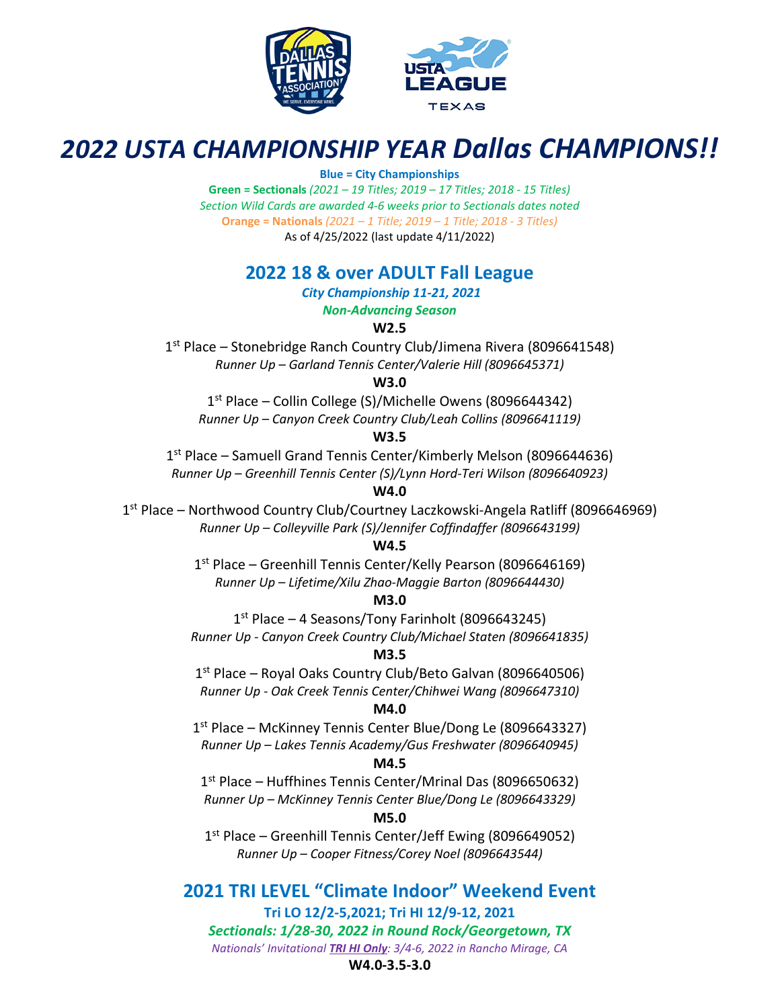



# *2022 USTA CHAMPIONSHIP YEAR Dallas CHAMPIONS!!*

### **Blue = City Championships**

**Green = Sectionals** *(2021 – 19 Titles; 2019 – 17 Titles; 2018 - 15 Titles) Section Wild Cards are awarded 4-6 weeks prior to Sectionals dates noted* **Orange = Nationals** *(2021 – 1 Title; 2019 – 1 Title; 2018 - 3 Titles)* As of 4/25/2022 (last update 4/11/2022)

## **2022 18 & over ADULT Fall League**

*City Championship 11-21, 2021*

*Non-Advancing Season* 

**W2.5** 

1<sup>st</sup> Place – Stonebridge Ranch Country Club/Jimena Rivera (8096641548) *Runner Up – Garland Tennis Center/Valerie Hill (8096645371)* 

**W3.0** 

1st Place – Collin College (S)/Michelle Owens (8096644342) *Runner Up – Canyon Creek Country Club/Leah Collins (8096641119)* 

### **W3.5**

1<sup>st</sup> Place – Samuell Grand Tennis Center/Kimberly Melson (8096644636) *Runner Up – Greenhill Tennis Center (S)/Lynn Hord-Teri Wilson (8096640923)* 

### **W4.0**

1st Place – Northwood Country Club/Courtney Laczkowski-Angela Ratliff (8096646969) *Runner Up – Colleyville Park (S)/Jennifer Coffindaffer (8096643199)* 

### **W4.5**

1st Place – Greenhill Tennis Center/Kelly Pearson (8096646169) *Runner Up – Lifetime/Xilu Zhao-Maggie Barton (8096644430)* 

### **M3.0**

 $1<sup>st</sup>$  Place – 4 Seasons/Tony Farinholt (8096643245) *Runner Up - Canyon Creek Country Club/Michael Staten (8096641835)* 

### **M3.5**

1<sup>st</sup> Place – Royal Oaks Country Club/Beto Galvan (8096640506) *Runner Up - Oak Creek Tennis Center/Chihwei Wang (8096647310)* 

### **M4.0**

1<sup>st</sup> Place – McKinney Tennis Center Blue/Dong Le (8096643327) *Runner Up – Lakes Tennis Academy/Gus Freshwater (8096640945)* 

### **M4.5**

1st Place – Huffhines Tennis Center/Mrinal Das (8096650632) *Runner Up – McKinney Tennis Center Blue/Dong Le (8096643329)* 

### **M5.0**

1<sup>st</sup> Place – Greenhill Tennis Center/Jeff Ewing (8096649052) *Runner Up – Cooper Fitness/Corey Noel (8096643544)* 

**2021 TRI LEVEL "Climate Indoor" Weekend Event Tri LO 12/2-5,2021; Tri HI 12/9-12, 2021**  *Sectionals: 1/28-30, 2022 in Round Rock/Georgetown, TX Nationals' Invitational TRI HI Only: 3/4-6, 2022 in Rancho Mirage, CA*

### **W4.0-3.5-3.0**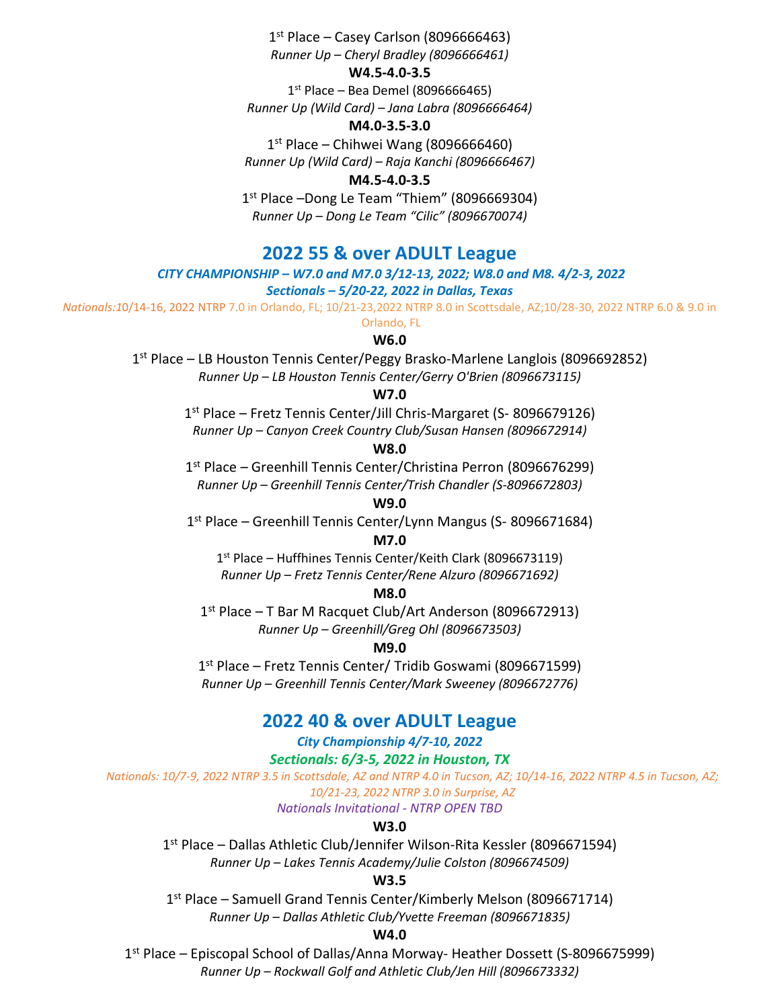$1<sup>st</sup>$  Place – Casey Carlson (8096666463) *Runner Up – Cheryl Bradley (8096666461)*

#### **W4.5-4.0-3.5**

 $1<sup>st</sup>$  Place – Bea Demel (8096666465) *Runner Up (Wild Card) – Jana Labra (8096666464)*

#### **M4.0-3.5-3.0**

 $1<sup>st</sup>$  Place – Chihwei Wang (8096666460) *Runner Up (Wild Card) – Raja Kanchi (8096666467)*

#### **M4.5-4.0-3.5**

1<sup>st</sup> Place –Dong Le Team "Thiem" (8096669304) *Runner Up – Dong Le Team "Cilic" (8096670074)*

### **2022 55 & over ADULT League**

#### *CITY CHAMPIONSHIP – W7.0 and M7.0 3/12-13, 2022; W8.0 and M8. 4/2-3, 2022*

#### *Sectionals – 5/20-22, 2022 in Dallas, Texas*

*Nationals:1*0/14-16, 2022 NTRP 7.0 in Orlando, FL; 10/21-23,2022 NTRP 8.0 in Scottsdale, AZ;10/28-30, 2022 NTRP 6.0 & 9.0 in

Orlando, FL

#### **W6.0**

1st Place – LB Houston Tennis Center/Peggy Brasko-Marlene Langlois (8096692852) *Runner Up – LB Houston Tennis Center/Gerry O'Brien (8096673115)*

#### **W7.0**

1st Place – Fretz Tennis Center/Jill Chris-Margaret (S- 8096679126) *Runner Up – Canyon Creek Country Club/Susan Hansen (8096672914)*

### **W8.0**

1st Place – Greenhill Tennis Center/Christina Perron (8096676299) *Runner Up – Greenhill Tennis Center/Trish Chandler (S-8096672803)*

### **W9.0**

1st Place – Greenhill Tennis Center/Lynn Mangus (S- 8096671684)

#### **M7.0**

1<sup>st</sup> Place – Huffhines Tennis Center/Keith Clark (8096673119) *Runner Up – Fretz Tennis Center/Rene Alzuro (8096671692)*

#### **M8.0**

1st Place – T Bar M Racquet Club/Art Anderson (8096672913) *Runner Up – Greenhill/Greg Ohl (8096673503)*

#### **M9.0**

1st Place – Fretz Tennis Center/ Tridib Goswami (8096671599) *Runner Up – Greenhill Tennis Center/Mark Sweeney (8096672776)*

### **2022 40 & over ADULT League**

### *City Championship 4/7-10, 2022*

*Sectionals: 6/3-5, 2022 in Houston, TX*

*Nationals: 10/7-9, 2022 NTRP 3.5 in Scottsdale, AZ and NTRP 4.0 in Tucson, AZ; 10/14-16, 2022 NTRP 4.5 in Tucson, AZ; 10/21-23, 2022 NTRP 3.0 in Surprise, AZ*

*Nationals Invitational - NTRP OPEN TBD*

### **W3.0**

1st Place – Dallas Athletic Club/Jennifer Wilson-Rita Kessler (8096671594) *Runner Up – Lakes Tennis Academy/Julie Colston (8096674509)*

#### **W3.5**

1<sup>st</sup> Place – Samuell Grand Tennis Center/Kimberly Melson (8096671714)

*Runner Up – Dallas Athletic Club/Yvette Freeman (8096671835)*

#### **W4.0**

1st Place – Episcopal School of Dallas/Anna Morway- Heather Dossett (S-8096675999) *Runner Up – Rockwall Golf and Athletic Club/Jen Hill (8096673332)*